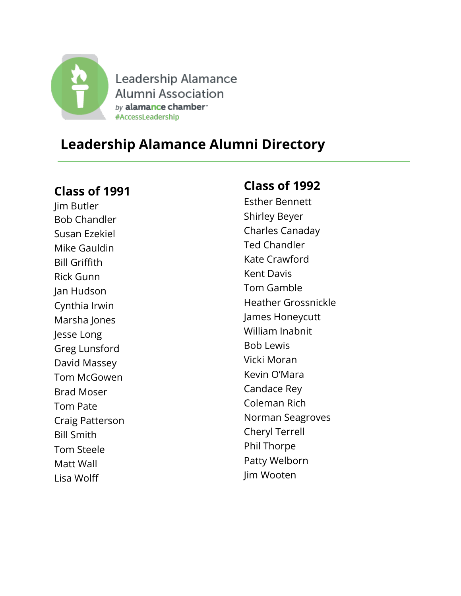

Leadership Alamance Alumni Association by alamance chamber" #AccessLeadership

# **Leadership Alamance Alumni Directory**

#### **Class of 1991**

Jim Butler Bob Chandler Susan Ezekiel Mike Gauldin Bill Griffith Rick Gunn Jan Hudson Cynthia Irwin Marsha Jones Jesse Long Greg Lunsford David Massey Tom McGowen Brad Moser Tom Pate Craig Patterson Bill Smith Tom Steele Matt Wall Lisa Wolff

## **Class of 1992**

Esther Bennett Shirley Beyer Charles Canaday Ted Chandler Kate Crawford Kent Davis Tom Gamble Heather Grossnickle James Honeycutt William Inabnit Bob Lewis Vicki Moran Kevin O'Mara Candace Rey Coleman Rich Norman Seagroves Cheryl Terrell Phil Thorpe Patty Welborn Jim Wooten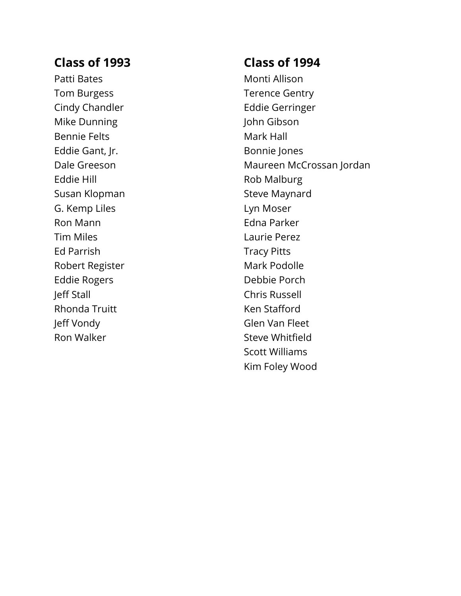Patti Bates Tom Burgess Cindy Chandler Mike Dunning Bennie Felts Eddie Gant, Jr. Dale Greeson Eddie Hill Susan Klopman G. Kemp Liles Ron Mann Tim Miles Ed Parrish Robert Register Eddie Rogers Jeff Stall Rhonda Truitt Jeff Vondy Ron Walker

#### **Class of 1994**

Monti Allison Terence Gentry Eddie Gerringer John Gibson Mark Hall Bonnie Jones Maureen McCrossan Jordan Rob Malburg Steve Maynard Lyn Moser Edna Parker Laurie Perez Tracy Pitts Mark Podolle Debbie Porch Chris Russell Ken Stafford Glen Van Fleet Steve Whitfield Scott Williams Kim Foley Wood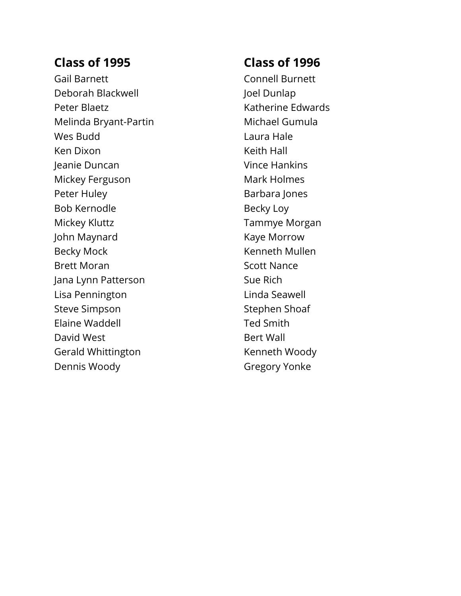Gail Barnett Deborah Blackwell Peter Blaetz Melinda Bryant-Partin Wes Budd Ken Dixon Jeanie Duncan Mickey Ferguson Peter Huley Bob Kernodle Mickey Kluttz John Maynard Becky Mock Brett Moran Jana Lynn Patterson Lisa Pennington Steve Simpson Elaine Waddell David West Gerald Whittington Dennis Woody

## **Class of 1996**

Connell Burnett Joel Dunlap Katherine Edwards Michael Gumula Laura Hale Keith Hall Vince Hankins Mark Holmes Barbara Jones Becky Loy Tammye Morgan Kaye Morrow Kenneth Mullen Scott Nance Sue Rich Linda Seawell Stephen Shoaf Ted Smith Bert Wall Kenneth Woody Gregory Yonke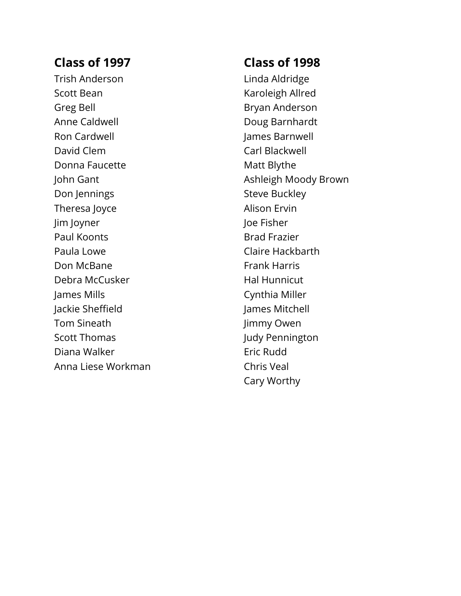Trish Anderson Scott Bean Greg Bell Anne Caldwell Ron Cardwell David Clem Donna Faucette John Gant Don Jennings Theresa Joyce Jim Joyner Paul Koonts Paula Lowe Don McBane Debra McCusker James Mills Jackie Sheffield Tom Sineath Scott Thomas Diana Walker Anna Liese Workman

## **Class of 1998**

Linda Aldridge Karoleigh Allred Bryan Anderson Doug Barnhardt James Barnwell Carl Blackwell Matt Blythe Ashleigh Moody Brown Steve Buckley Alison Ervin Joe Fisher Brad Frazier Claire Hackbarth Frank Harris Hal Hunnicut Cynthia Miller James Mitchell Jimmy Owen Judy Pennington Eric Rudd Chris Veal Cary Worthy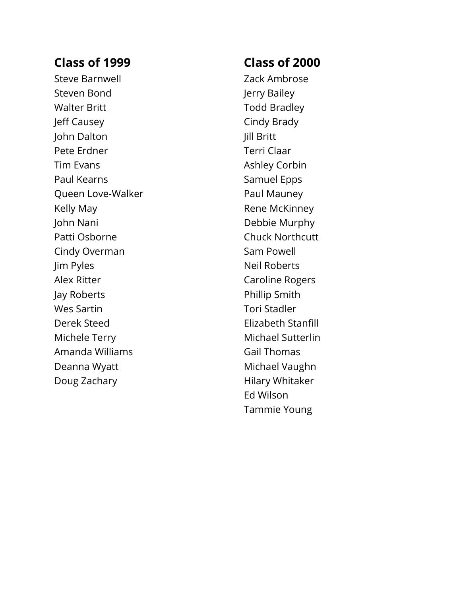Steve Barnwell Steven Bond Walter Britt Jeff Causey John Dalton Pete Erdner Tim Evans Paul Kearns Queen Love -Walker Kelly May John Nani Patti Osborne Cindy Overman Jim Pyles Alex Ritter Jay Roberts Wes Sartin Derek Steed Michele Terry Amanda Williams Deanna Wyatt Doug Zachary

## **Class of 2000**

Zack Ambrose Jerry Bailey Todd Bradley Cindy Brady Jill Britt Terri Claar Ashley Corbin Samuel Epps Paul Mauney Rene McKinney Debbie Murphy Chuck Northcutt Sam Powell Neil Roberts Caroline Rogers Phillip Smith Tori Stadler Elizabeth Stanfill Michael Sutterlin Gail Thomas Michael Vaughn Hilary Whitaker Ed Wilson Tammie Young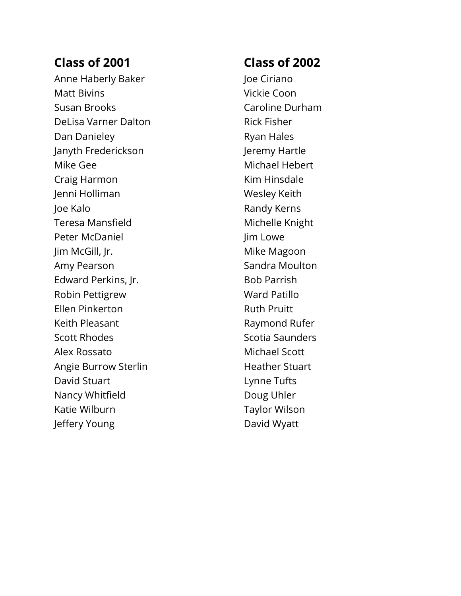Anne Haberly Baker Matt Bivins Susan Brooks DeLisa Varner Dalton Dan Danieley Janyth Frederickson Mike Gee Craig Harmon Jenni Holliman Joe Kalo Teresa Mansfield Peter McDaniel Jim McGill, Jr. Amy Pearson Edward Perkins, Jr. Robin Pettigrew Ellen Pinkerton Keith Pleasant Scott Rhodes Alex Rossato Angie Burrow Sterlin David Stuart Nancy Whitfield Katie Wilburn Jeffery Young

## **Class of 2002**

Joe Ciriano Vickie Coon Caroline Durham Rick Fisher Ryan Hales Jeremy Hartle Michael Hebert Kim Hinsdale Wesley Keith Randy Kerns Michelle Knight Jim Lowe Mike Magoon Sandra Moulton Bob Parrish Ward Patillo Ruth Pruitt Raymond Rufer Scotia Saunders Michael Scott Heather Stuart Lynne Tufts Doug Uhler Taylor Wilson David Wyatt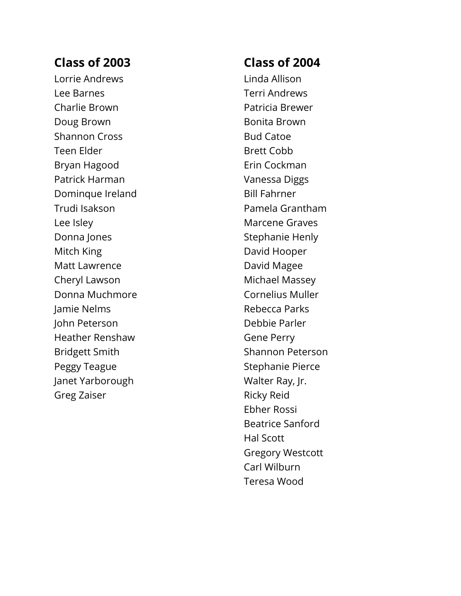Lorrie Andrews Lee Barnes Charlie Brown Doug Brown Shannon Cross Teen Elder Bryan Hagood Patrick Harman Dominque Ireland Trudi Isakson Lee Isley Donna Jones Mitch King Matt Lawrence Cheryl Lawson Donna Muchmore Jamie Nelms John Peterson Heather Renshaw Bridgett Smith Peggy Teague Janet Yarborough Greg Zaiser

## **Class of 2004**

Linda Allison Terri Andrews Patricia Brewer Bonita Brown Bud Catoe Brett Cobb Erin Cockman Vanessa Diggs Bill Fahrner Pamela Grantham Marcene Graves Stephanie Henly David Hooper David Magee Michael Massey Cornelius Muller Rebecca Parks Debbie Parler Gene Perry Shannon Peterson Stephanie Pierce Walter Ray, Jr. Ricky Reid Ebher Rossi Beatrice Sanford Hal Scott Gregory Westcott Carl Wilburn Teresa Wood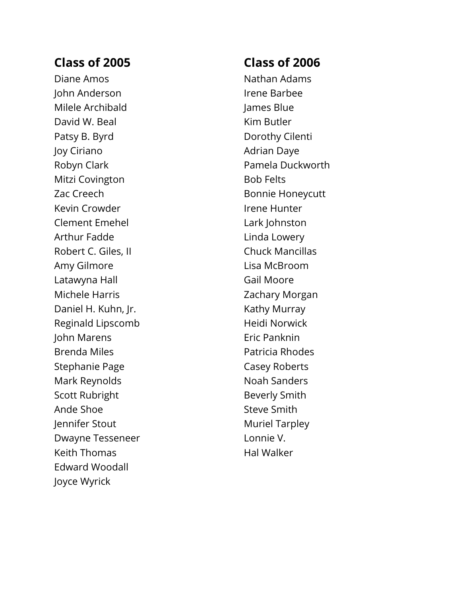Diane Amos John Anderson Milele Archibald David W. Beal Patsy B. Byrd Joy Ciriano Robyn Clark Mitzi Covington Zac Creech Kevin Crowder Clement Emehel Arthur Fadde Robert C. Giles, II Amy Gilmore Latawyna Hall Michele Harris Daniel H. Kuhn, Jr. Reginald Lips comb John Marens Brenda Miles Stephanie Page Mark Reynolds Scott Rubright Ande Shoe Jennifer Stout Dwayne Tesseneer Keith Thomas Edward Woodall Joyce Wyrick

## **Class of 2006**

Nathan Adams Irene Barbee James Blue Kim Butler Dorothy Cilenti Adrian Daye Pamela Duckworth Bob Felts Bonnie Honeycutt Irene Hunter Lark Johnston Linda Lowery Chuck Mancillas Lisa McBroom Gail Moore Zachary Morgan Kathy Murray Heidi Norwick Eric Panknin Patricia Rhodes Casey Roberts Noah Sanders Beverly Smith Steve Smith Muriel Tarpley Lonnie V. Hal Walker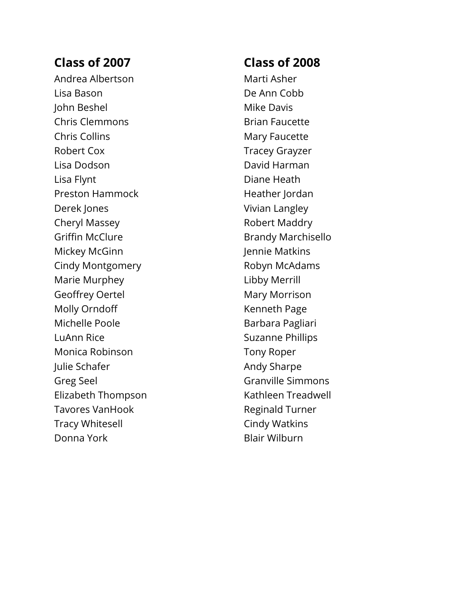Andrea Albertson Lisa Bason John Beshel Chris Clemmons Chris Collins Robert Cox Lisa Dodson Lisa Flynt Preston Hammock Derek Jones Cheryl Massey Griffin McClure Mickey McGinn Cindy Montgomery Marie Murphey Geoffrey Oertel Molly Orndoff Michelle Poole LuAnn Rice Monica Robinson Julie Schafer Greg Seel Elizabeth Thompson Tavores VanHook Tracy Whitesell Donna York

#### **Class of 2008**

Marti Asher De Ann Cobb Mike Davis Brian Faucette Mary Faucette Tracey Grayzer David Harman Diane Heath Heather Jordan Vivian Langley Robert Maddr y Brandy Marchisello Jennie Matkins Robyn McAdams Libby Merrill Mary Morrison Kenneth Page Barbara Pagliari Suzanne Phillips Tony Roper Andy Sharpe Granville Simmons Kathleen Treadwell Reginald Turner Cindy Watkins Blair Wilburn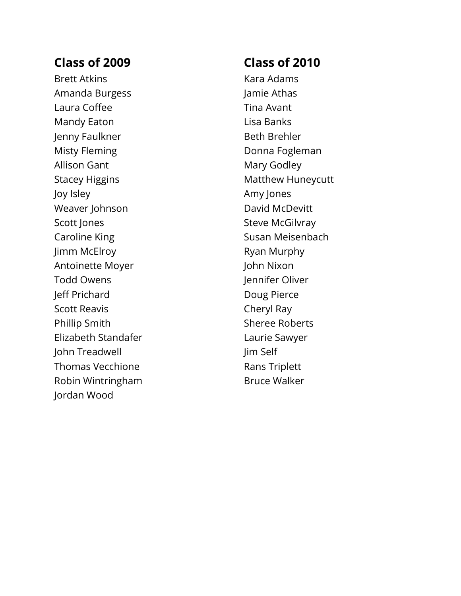Brett Atkins Amanda Burgess Laura Coffee Mandy Eaton Jenny Faulkner Misty Fleming Allison Gant Stacey Higgins Joy Isley Weaver Johnson Scott Jones Caroline King Jimm McElroy Antoinette Moyer Todd Owens Jeff Prichard Scott Reavis Phillip Smith Elizabeth Standafer John Treadwell Thomas Vecchione Robin Wintringham Jordan Wood

## **Class of 2010**

Kara Adams Jamie Athas Tina Avant Lisa Banks Beth Brehler Donna Fogleman Mary Godley Matthew Huneycutt Amy Jones David McDevitt Steve McGilvray Susan Meisenbach Ryan Murphy John Nixon Jennifer Oliver Doug Pierce Cheryl Ray Sheree Roberts Laurie Sawyer Jim Self Rans Triplett Bruce Walker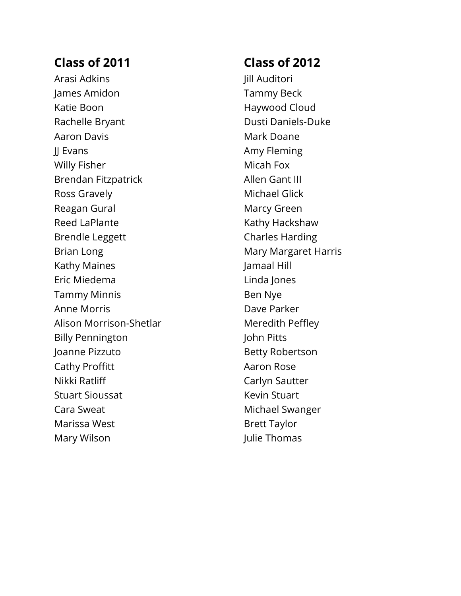Arasi Adkins James Amidon Katie Boon Rachelle Bryant Aaron Davis **II Evans** Willy Fisher Brendan Fitzpatrick Ross Gravely Reagan Gural Reed LaPlante Brendle Leggett Brian Long Kathy Maines Eric Miedema Tammy Minnis Anne Morris Alison Morrison-Shetlar Billy Pennington Joanne Pizzuto Cathy Proffitt Nikki Ratliff Stuart Sioussat Cara Sweat Marissa West Mary Wilson

## **Class of 2012**

Jill Auditori Tammy Beck Haywood Cloud Dusti Daniels-Duke Mark Doane Amy Fleming Micah Fox Allen Gant III Michael Glick Marcy Green Kathy Hackshaw Charles Harding Mary Margaret Harris Jamaal Hill Linda Jones Ben Nye Dave Parker Meredith Peffley John Pitts Betty Robertson Aaron Rose Carlyn Sautter Kevin Stuart Michael Swanger Brett Taylor Julie Thomas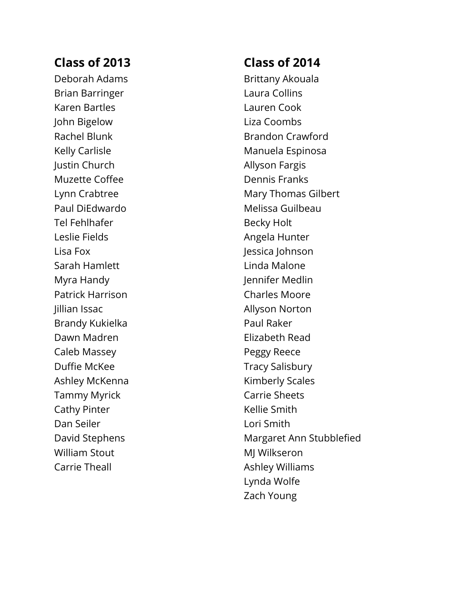Deborah Adams Brian Barringer Karen Bartles John Bigelow Rachel Blunk Kelly Carlisle Justin Church Muzette Coffee Lynn Crabtree Paul DiEdwardo Tel Fehlhafer Leslie Fields Lisa Fox Sarah Hamlett Myra Handy Patrick Harrison Jillian Issac Brandy Kukielka Dawn Madren Caleb Massey Duffie McKee Ashley McKenna Tammy Myrick Cathy Pinter Dan Seiler David Stephens William Stout Carrie Theall

#### **Class of 2014**

Brittany Akouala Laura Collins Lauren Cook Liza Coombs Brandon Crawford Manuela Espinosa Allyson Fargis Dennis Franks Mary Thomas Gilbert Melissa Guilbeau Becky Holt Angela Hunter Jessica Johnson Linda Malone Jennifer Medlin Charles Moore Allyson Norton Paul Raker Elizabeth Read Peggy Reece Tracy Salisbury Kimberly Scales Carrie Sheets Kellie Smith Lori Smith Margaret Ann Stubblefied MJ Wilkseron Ashley Williams Lynda Wolfe Zach Young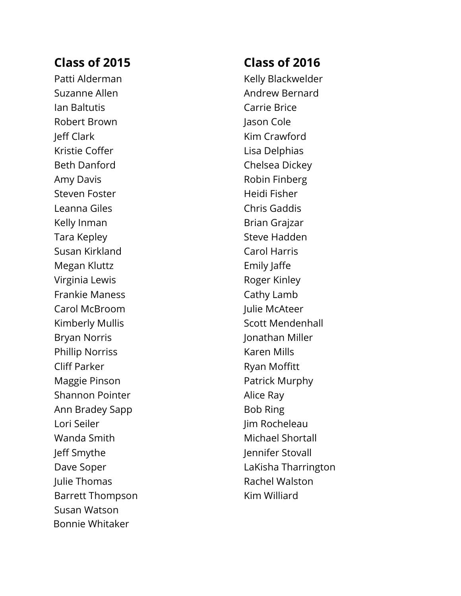Patti Alderman Suzanne Allen Ian Baltuti s Robert Brown Jeff Clark Kristie Coffer Beth Danford Amy Davis Steven Foster Leanna Giles Kelly Inman Tara Kepley Susan Kirkland Megan Kluttz Virginia Lewis Frankie Maness Carol McBroom Kimberly Mullis Bryan Norris Phillip Norriss Cliff Parker Maggie Pinson Shannon Pointer Ann Bradey Sapp Lori Seiler Wanda Smith Jeff Smythe Dave Soper Julie Thomas Barrett Thompson Susan Watson Bonnie Whitaker

## **Class of 2016**

Kelly Blackwelder Andrew Bernard Carrie Brice Jason Cole Kim Crawford Lisa Delphias Chelsea Dickey Robin Finberg Heidi Fisher Chris Gaddis Brian Grajzar Steve Hadden Carol Harris Emily Jaffe Roger Kinley Cathy Lamb Julie McAteer Scott Mendenhall Jonathan Miller Karen Mills Ryan Moffitt Patrick Murphy Alice Ray Bob Ring Jim Rocheleau Michael Shortall Jennifer Stovall LaKisha Tharrington Rachel Walston Kim Williard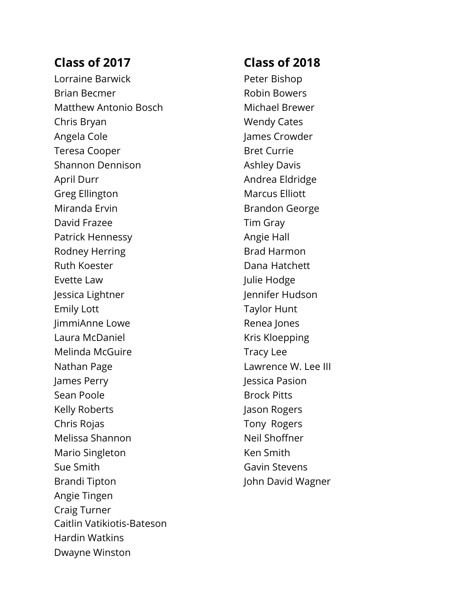Caitlin Vatikiotis-Bateson Hardin Watkins Dwayne Winston Lorraine Barwick Brian Becmer Matthew Antonio Bosch Chris Bryan Angela Cole Teresa Cooper Shannon Dennison April Durr Greg Ellington Miranda Ervin David Frazee Patrick Hennessy Rodney Herring Ruth Koester Evette Law Jessica Lightner Emily Lott JimmiAnne Lowe Laura McDaniel Melinda McGuire Nathan Page James Perry Sean Poole Kelly Roberts Chris Rojas Melissa Shannon Mario Singleton Sue Smith Brandi Tipton Angie Tingen Craig Turner

#### **Class of 2018**

Peter Bishop Robin Bowers Michael Brewer Wendy Cates James Crowder Bret Currie Ashley Davis Andrea Eldridge Marcus Elliott Brandon George Tim Gray Angie Hall Brad Harmon Dana Hatchett Julie Hodge Jennifer Hudson Taylor Hunt Renea Jones Kris Kloepping Tracy Lee Lawrence W. Lee III Jessica Pasion Brock Pitts Jason Rogers Tony Rogers Neil Shoffner Ken Smith Gavin Stevens John David Wagner